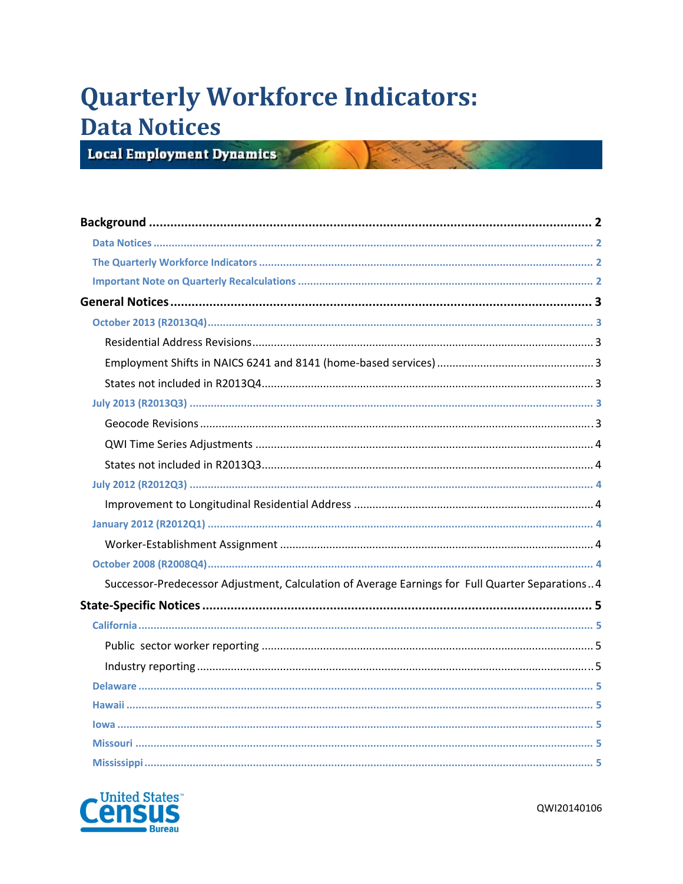# **Quarterly Workforce Indicators: Data Notices**

**Local Employment Dynamics** 

| Successor-Predecessor Adjustment, Calculation of Average Earnings for Full Quarter Separations4 |  |
|-------------------------------------------------------------------------------------------------|--|
|                                                                                                 |  |
|                                                                                                 |  |
|                                                                                                 |  |
|                                                                                                 |  |
|                                                                                                 |  |
|                                                                                                 |  |
|                                                                                                 |  |
|                                                                                                 |  |
|                                                                                                 |  |

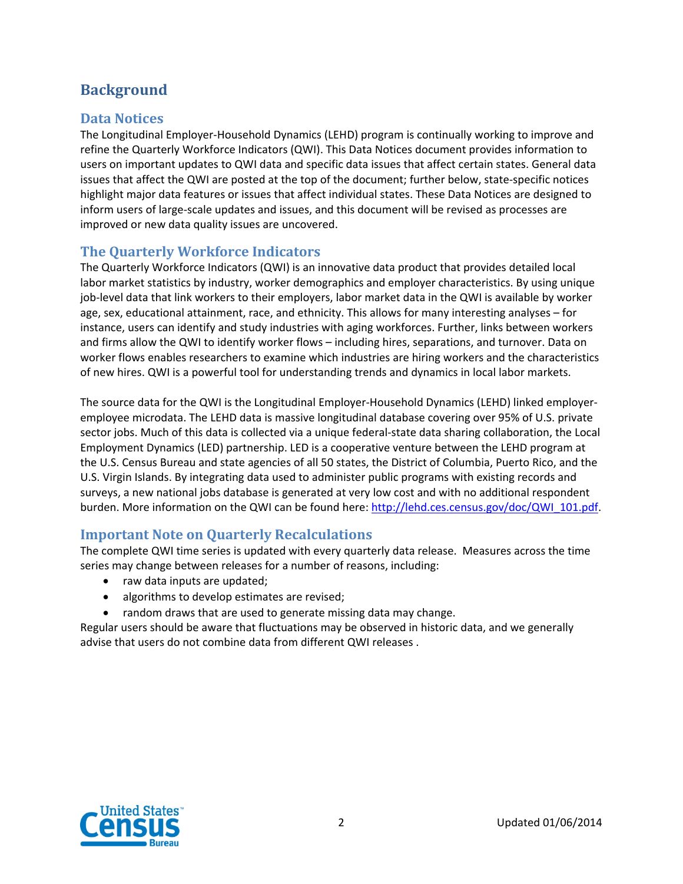# **Background**

## **Data Notices**

The Longitudinal Employer‐Household Dynamics (LEHD) program is continually working to improve and refine the Quarterly Workforce Indicators (QWI). This Data Notices document provides information to users on important updates to QWI data and specific data issues that affect certain states. General data issues that affect the QWI are posted at the top of the document; further below, state‐specific notices highlight major data features or issues that affect individual states. These Data Notices are designed to inform users of large‐scale updates and issues, and this document will be revised as processes are improved or new data quality issues are uncovered.

## **The Quarterly Workforce Indicators**

The Quarterly Workforce Indicators (QWI) is an innovative data product that provides detailed local labor market statistics by industry, worker demographics and employer characteristics. By using unique job‐level data that link workers to their employers, labor market data in the QWI is available by worker age, sex, educational attainment, race, and ethnicity. This allows for many interesting analyses – for instance, users can identify and study industries with aging workforces. Further, links between workers and firms allow the QWI to identify worker flows – including hires, separations, and turnover. Data on worker flows enables researchers to examine which industries are hiring workers and the characteristics of new hires. QWI is a powerful tool for understanding trends and dynamics in local labor markets.

The source data for the QWI is the Longitudinal Employer‐Household Dynamics (LEHD) linked employer‐ employee microdata. The LEHD data is massive longitudinal database covering over 95% of U.S. private sector jobs. Much of this data is collected via a unique federal‐state data sharing collaboration, the Local Employment Dynamics (LED) partnership. LED is a cooperative venture between the LEHD program at the U.S. Census Bureau and state agencies of all 50 states, the District of Columbia, Puerto Rico, and the U.S. Virgin Islands. By integrating data used to administer public programs with existing records and surveys, a new national jobs database is generated at very low cost and with no additional respondent burden. More information on the QWI can be found here: http://lehd.ces.census.gov/doc/QWI\_101.pdf.

## **Important Note on Quarterly Recalculations**

The complete QWI time series is updated with every quarterly data release. Measures across the time series may change between releases for a number of reasons, including:

- raw data inputs are updated;
- algorithms to develop estimates are revised;
- random draws that are used to generate missing data may change.

Regular users should be aware that fluctuations may be observed in historic data, and we generally advise that users do not combine data from different QWI releases .

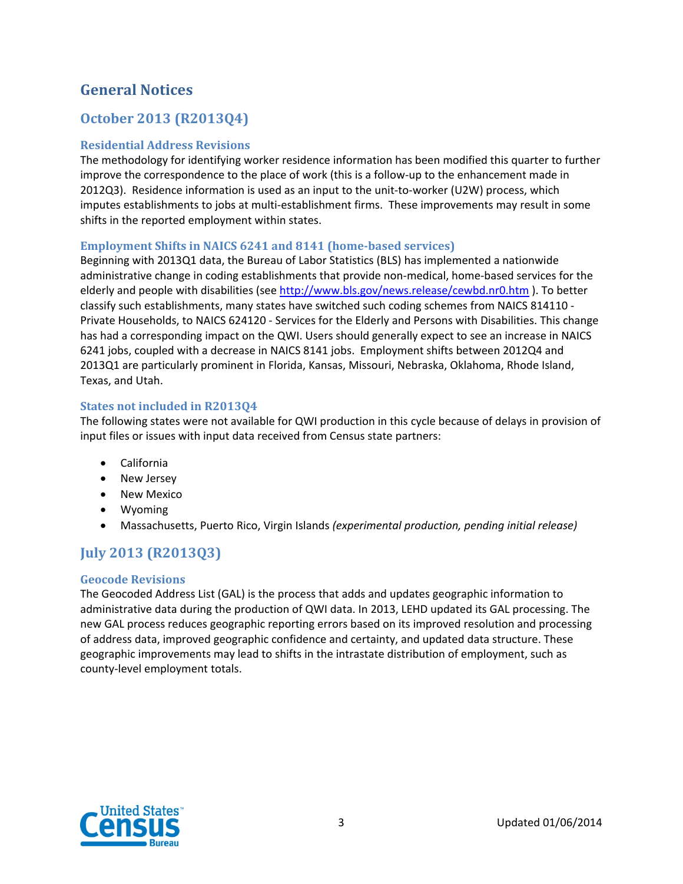# **General Notices**

# **October 2013 (R2013Q4)**

#### **Residential Address Revisions**

The methodology for identifying worker residence information has been modified this quarter to further improve the correspondence to the place of work (this is a follow-up to the enhancement made in 2012Q3). Residence information is used as an input to the unit-to-worker (U2W) process, which imputes establishments to jobs at multi-establishment firms. These improvements may result in some shifts in the reported employment within states.

#### **Employment Shifts in NAICS 6241 and 8141 (home‐based services)**

Beginning with 2013Q1 data, the Bureau of Labor Statistics (BLS) has implemented a nationwide administrative change in coding establishments that provide non-medical, home-based services for the elderly and people with disabilities (see http://www.bls.gov/news.release/cewbd.nr0.htm ). To better classify such establishments, many states have switched such coding schemes from NAICS 814110 ‐ Private Households, to NAICS 624120 ‐ Services for the Elderly and Persons with Disabilities. This change has had a corresponding impact on the QWI. Users should generally expect to see an increase in NAICS 6241 jobs, coupled with a decrease in NAICS 8141 jobs. Employment shifts between 2012Q4 and 2013Q1 are particularly prominent in Florida, Kansas, Missouri, Nebraska, Oklahoma, Rhode Island, Texas, and Utah.

#### **States not included in R2013Q4**

The following states were not available for QWI production in this cycle because of delays in provision of input files or issues with input data received from Census state partners:

- California
- New Jersey
- New Mexico
- Wyoming
- Massachusetts, Puerto Rico, Virgin Islands *(experimental production, pending initial release)*

# **July 2013 (R2013Q3)**

#### **Geocode Revisions**

The Geocoded Address List (GAL) is the process that adds and updates geographic information to administrative data during the production of QWI data. In 2013, LEHD updated its GAL processing. The new GAL process reduces geographic reporting errors based on its improved resolution and processing of address data, improved geographic confidence and certainty, and updated data structure. These geographic improvements may lead to shifts in the intrastate distribution of employment, such as county‐level employment totals.

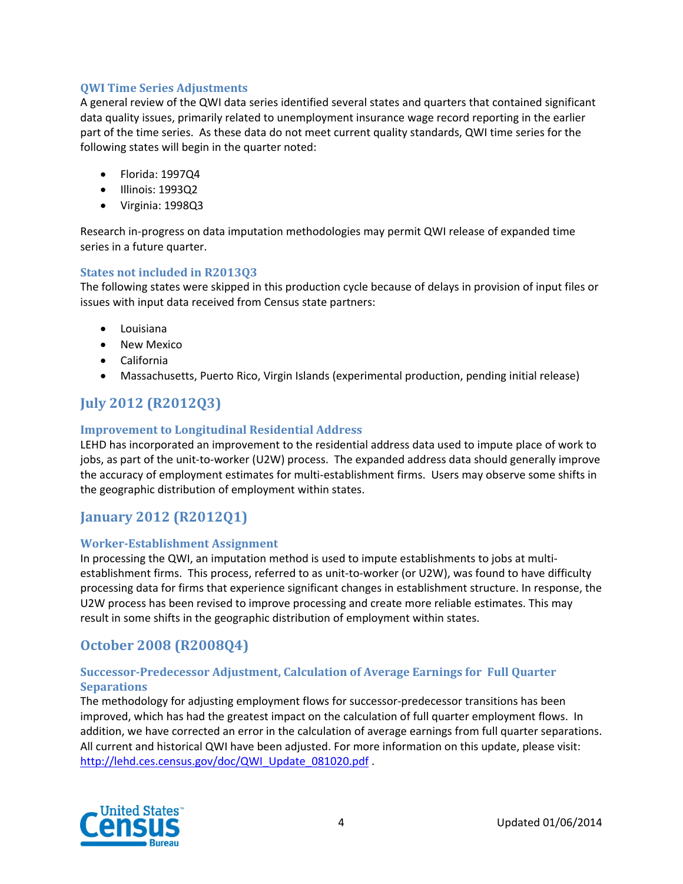#### **QWI Time Series Adjustments**

A general review of the QWI data series identified several states and quarters that contained significant data quality issues, primarily related to unemployment insurance wage record reporting in the earlier part of the time series. As these data do not meet current quality standards, QWI time series for the following states will begin in the quarter noted:

- Florida: 1997Q4
- Illinois: 1993Q2
- Virginia: 1998Q3

Research in‐progress on data imputation methodologies may permit QWI release of expanded time series in a future quarter.

#### **States not included in R2013Q3**

The following states were skipped in this production cycle because of delays in provision of input files or issues with input data received from Census state partners:

- Louisiana
- New Mexico
- California
- Massachusetts, Puerto Rico, Virgin Islands (experimental production, pending initial release)

# **July 2012 (R2012Q3)**

#### **Improvement to Longitudinal Residential Address**

LEHD has incorporated an improvement to the residential address data used to impute place of work to jobs, as part of the unit-to-worker (U2W) process. The expanded address data should generally improve the accuracy of employment estimates for multi-establishment firms. Users may observe some shifts in the geographic distribution of employment within states.

# **January 2012 (R2012Q1)**

#### **Worker‐Establishment Assignment**

In processing the QWI, an imputation method is used to impute establishments to jobs at multi‐ establishment firms. This process, referred to as unit-to-worker (or U2W), was found to have difficulty processing data for firms that experience significant changes in establishment structure. In response, the U2W process has been revised to improve processing and create more reliable estimates. This may result in some shifts in the geographic distribution of employment within states.

## **October 2008 (R2008Q4)**

#### **Successor‐Predecessor Adjustment, Calculation of Average Earnings for Full Quarter Separations**

The methodology for adjusting employment flows for successor-predecessor transitions has been improved, which has had the greatest impact on the calculation of full quarter employment flows. In addition, we have corrected an error in the calculation of average earnings from full quarter separations. All current and historical QWI have been adjusted. For more information on this update, please visit: http://lehd.ces.census.gov/doc/QWI\_Update\_081020.pdf .